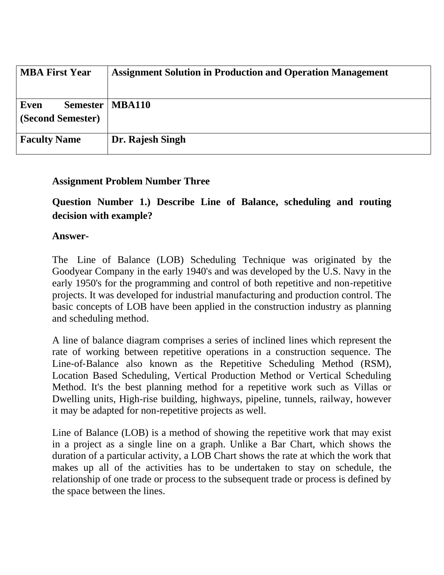| <b>MBA First Year</b>                 | <b>Assignment Solution in Production and Operation Management</b> |
|---------------------------------------|-------------------------------------------------------------------|
| Semester<br>Even<br>(Second Semester) | <b>MBA110</b>                                                     |
| <b>Faculty Name</b>                   | Dr. Rajesh Singh                                                  |

# **Assignment Problem Number Three**

**Question Number 1.) Describe Line of Balance, scheduling and routing decision with example?**

#### **Answer-**

The Line of Balance (LOB) Scheduling Technique was originated by the Goodyear Company in the early 1940's and was developed by the U.S. Navy in the early 1950's for the programming and control of both repetitive and non‐repetitive projects. It was developed for industrial manufacturing and production control. The basic concepts of LOB have been applied in the construction industry as planning and scheduling method.

A line of balance diagram comprises a series of inclined lines which represent the rate of working between repetitive operations in a construction sequence. The Line-of-Balance also known as the Repetitive Scheduling Method (RSM), Location Based Scheduling, Vertical Production Method or Vertical Scheduling Method. It's the best planning method for a repetitive work such as Villas or Dwelling units, High-rise building, highways, pipeline, tunnels, railway, however it may be adapted for non-repetitive projects as well.

Line of Balance (LOB) is a method of showing the repetitive work that may exist in a project as a single line on a graph. Unlike a Bar Chart, which shows the duration of a particular activity, a LOB Chart shows the rate at which the work that makes up all of the activities has to be undertaken to stay on schedule, the relationship of one trade or process to the subsequent trade or process is defined by the space between the lines.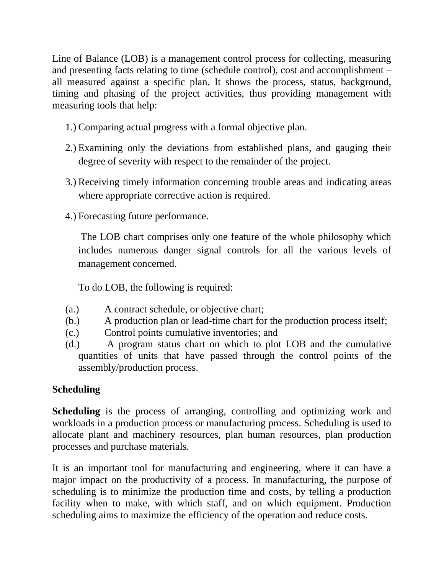Line of Balance (LOB) is a management control process for collecting, measuring and presenting facts relating to time (schedule control), cost and accomplishment – all measured against a specific plan. It shows the process, status, background, timing and phasing of the project activities, thus providing management with measuring tools that help:

- 1.) Comparing actual progress with a formal objective plan.
- 2.) Examining only the deviations from established plans, and gauging their degree of severity with respect to the remainder of the project.
- 3.) Receiving timely information concerning trouble areas and indicating areas where appropriate corrective action is required.
- 4.) Forecasting future performance.

The LOB chart comprises only one feature of the whole philosophy which includes numerous danger signal controls for all the various levels of management concerned.

To do LOB, the following is required:

- (a.) A contract schedule, or objective chart;
- (b.) A production plan or lead-time chart for the production process itself;
- (c.) Control points cumulative inventories; and
- (d.) A program status chart on which to plot LOB and the cumulative quantities of units that have passed through the control points of the assembly/production process.

# **Scheduling**

**Scheduling** is the process of arranging, controlling and optimizing work and workloads in a production process or manufacturing process. Scheduling is used to allocate plant and machinery resources, plan human resources, plan production processes and purchase materials.

It is an important tool for manufacturing and engineering, where it can have a major impact on the productivity of a process. In manufacturing, the purpose of scheduling is to minimize the production time and costs, by telling a production facility when to make, with which staff, and on which equipment. Production scheduling aims to maximize the efficiency of the operation and reduce costs.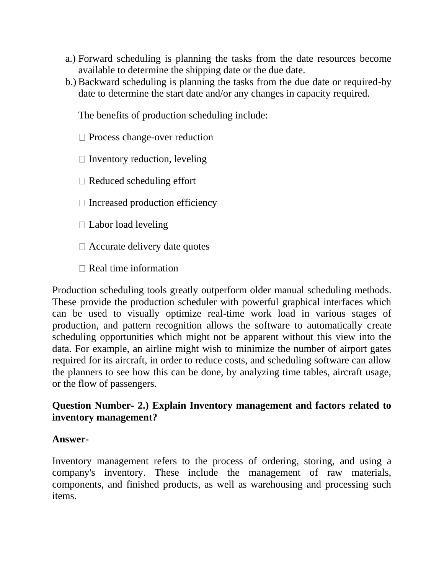- a.) Forward scheduling is planning the tasks from the date resources become available to determine the shipping date or the due date.
- b.) Backward scheduling is planning the tasks from the due date or required-by date to determine the start date and/or any changes in capacity required.

The benefits of production scheduling include:

 $\Box$  Process change-over reduction

 $\Box$  Inventory reduction, leveling

 $\Box$  Reduced scheduling effort

 $\Box$  Increased production efficiency

 $\Box$  Labor load leveling

 $\Box$  Accurate delivery date quotes

 $\Box$  Real time information

Production scheduling tools greatly outperform older manual scheduling methods. These provide the production scheduler with powerful graphical interfaces which can be used to visually optimize real-time work load in various stages of production, and pattern recognition allows the software to automatically create scheduling opportunities which might not be apparent without this view into the data. For example, an airline might wish to minimize the number of airport gates required for its aircraft, in order to reduce costs, and scheduling software can allow the planners to see how this can be done, by analyzing time tables, aircraft usage, or the flow of passengers.

# **Question Number- 2.) Explain Inventory management and factors related to inventory management?**

#### **Answer-**

Inventory management refers to the process of ordering, storing, and using a company's inventory. These include the management of raw materials, components, and finished products, as well as warehousing and processing such items.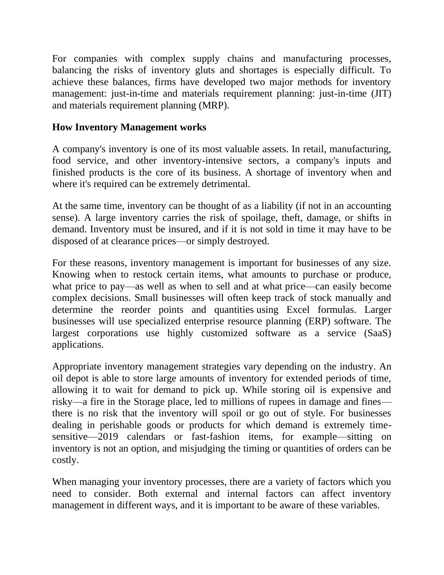For companies with complex supply chains and manufacturing processes, balancing the risks of inventory gluts and shortages is especially difficult. To achieve these balances, firms have developed two major methods for inventory management: just-in-time and materials requirement planning: just-in-time (JIT) and materials requirement planning (MRP).

# **How Inventory Management works**

A company's inventory is one of its most valuable assets. In retail, manufacturing, food service, and other inventory-intensive sectors, a company's inputs and finished products is the core of its business. A shortage of inventory when and where it's required can be extremely detrimental.

At the same time, inventory can be thought of as a liability (if not in an accounting sense). A large inventory carries the risk of spoilage, theft, damage, or shifts in demand. Inventory must be insured, and if it is not sold in time it may have to be disposed of at clearance prices—or simply destroyed.

For these reasons, inventory management is important for businesses of any size. Knowing when to restock certain items, what amounts to purchase or produce, what price to pay—as well as when to sell and at what price—can easily become complex decisions. Small businesses will often keep track of stock manually and determine the reorder points and quantities using Excel formulas. Larger businesses will use specialized enterprise resource planning (ERP) software. The largest corporations use highly customized software as a service (SaaS) applications.

Appropriate inventory management strategies vary depending on the industry. An oil depot is able to store large amounts of inventory for extended periods of time, allowing it to wait for demand to pick up. While storing oil is expensive and risky—a fire in the Storage place, led to millions of rupees in damage and fines there is no risk that the inventory will spoil or go out of style. For businesses dealing in perishable goods or products for which demand is extremely timesensitive—2019 calendars or fast-fashion items, for example—sitting on inventory is not an option, and misjudging the timing or quantities of orders can be costly.

When managing your inventory processes, there are a variety of factors which you need to consider. Both external and internal factors can affect inventory management in different ways, and it is important to be aware of these variables.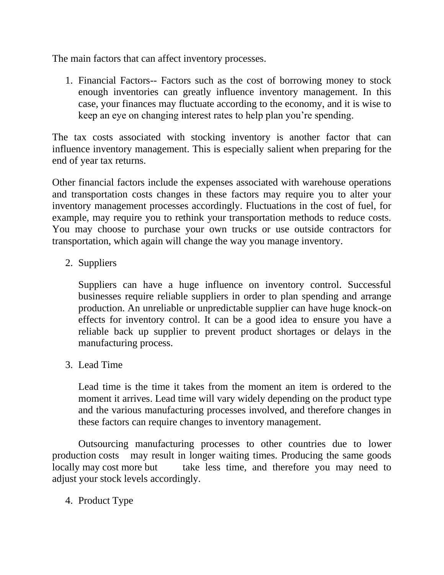The main factors that can affect inventory processes.

1. Financial Factors-- Factors such as the cost of borrowing money to stock enough inventories can greatly influence inventory management. In this case, your finances may fluctuate according to the economy, and it is wise to keep an eye on changing interest rates to help plan you're spending.

The tax costs associated with stocking inventory is another factor that can influence inventory management. This is especially salient when preparing for the end of year tax returns.

Other financial factors include the expenses associated with warehouse operations and transportation costs changes in these factors may require you to alter your inventory management processes accordingly. Fluctuations in the cost of fuel, for example, may require you to rethink your transportation methods to reduce costs. You may choose to purchase your own trucks or use outside contractors for transportation, which again will change the way you manage inventory.

2. Suppliers

Suppliers can have a huge influence on inventory control. Successful businesses require reliable suppliers in order to plan spending and arrange production. An unreliable or unpredictable supplier can have huge knock-on effects for inventory control. It can be a good idea to ensure you have a reliable back up supplier to prevent product shortages or delays in the manufacturing process.

3. Lead Time

Lead time is the time it takes from the moment an item is ordered to the moment it arrives. Lead time will vary widely depending on the product type and the various manufacturing processes involved, and therefore changes in these factors can require changes to inventory management.

Outsourcing manufacturing processes to other countries due to lower production costs may result in longer waiting times. Producing the same goods locally may cost more but take less time, and therefore you may need to adjust your stock levels accordingly.

4. Product Type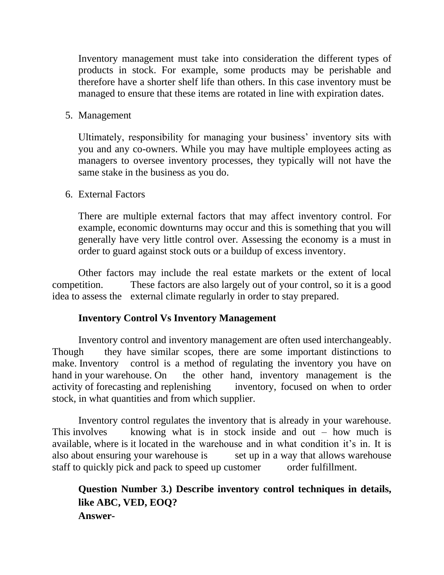Inventory management must take into consideration the different types of products in stock. For example, some products may be perishable and therefore have a shorter shelf life than others. In this case inventory must be managed to ensure that these items are rotated in line with expiration dates.

5. Management

Ultimately, responsibility for managing your business' inventory sits with you and any co-owners. While you may have multiple employees acting as managers to oversee inventory processes, they typically will not have the same stake in the business as you do.

6. External Factors

There are multiple external factors that may affect inventory control. For example, economic downturns may occur and this is something that you will generally have very little control over. Assessing the economy is a must in order to guard against stock outs or a buildup of excess inventory.

Other factors may include the real estate markets or the extent of local competition. These factors are also largely out of your control, so it is a good idea to assess the external climate regularly in order to stay prepared.

#### **Inventory Control Vs Inventory Management**

Inventory control and inventory management are often used interchangeably. Though they have similar scopes, there are some important distinctions to make. Inventory control is a method of regulating the inventory you have on hand in your warehouse. On the other hand, inventory management is the activity of forecasting and replenishing inventory, focused on when to order stock, in what quantities and from which supplier.

Inventory control regulates the inventory that is already in your warehouse. This involves knowing what is in stock inside and out  $-$  how much is available, where is it located in the warehouse and in what condition it's in. It is also about ensuring your warehouse is set up in a way that allows warehouse staff to quickly pick and pack to speed up customer order fulfillment.

# **Question Number 3.) Describe inventory control techniques in details, like ABC, VED, EOQ? Answer-**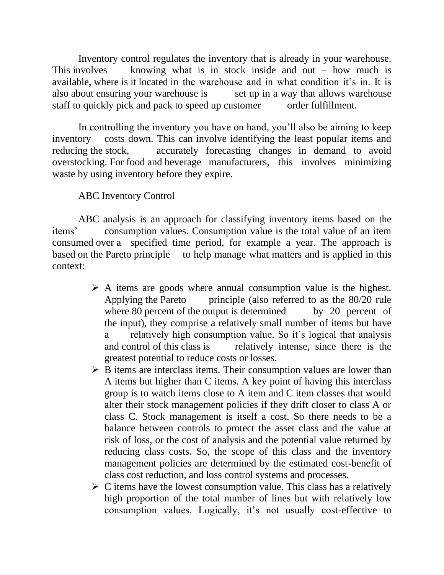Inventory control regulates the inventory that is already in your warehouse. This involves knowing what is in stock inside and out – how much is available, where is it located in the warehouse and in what condition it's in. It is also about ensuring your warehouse is set up in a way that allows warehouse staff to quickly pick and pack to speed up customer order fulfillment.

In controlling the inventory you have on hand, you'll also be aiming to keep inventory costs down. This can involve identifying the least popular items and reducing the stock, accurately forecasting changes in demand to avoid overstocking. For food and beverage manufacturers, this involves minimizing waste by using inventory before they expire.

#### ABC Inventory Control

ABC analysis is an approach for classifying inventory items based on the items' consumption values. Consumption value is the total value of an item consumed over a specified time period, for example a year. The approach is based on the Pareto principle to help manage what matters and is applied in this context:

- $\triangleright$  A items are goods where annual consumption value is the highest. Applying the Pareto principle (also referred to as the 80/20 rule where 80 percent of the output is determined by 20 percent of the input), they comprise a relatively small number of items but have a relatively high consumption value. So it's logical that analysis and control of this class is relatively intense, since there is the greatest potential to reduce costs or losses.
- $\triangleright$  B items are interclass items. Their consumption values are lower than A items but higher than C items. A key point of having this interclass group is to watch items close to A item and C item classes that would alter their stock management policies if they drift closer to class A or class C. Stock management is itself a cost. So there needs to be a balance between controls to protect the asset class and the value at risk of loss, or the cost of analysis and the potential value returned by reducing class costs. So, the scope of this class and the inventory management policies are determined by the estimated cost-benefit of class cost reduction, and loss control systems and processes.
- $\triangleright$  C items have the lowest consumption value. This class has a relatively high proportion of the total number of lines but with relatively low consumption values. Logically, it's not usually cost-effective to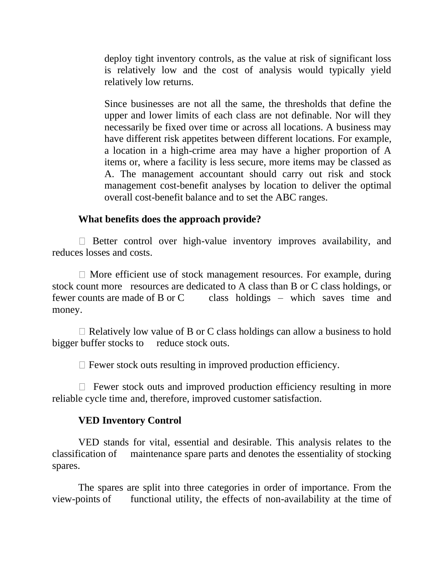deploy tight inventory controls, as the value at risk of significant loss is relatively low and the cost of analysis would typically yield relatively low returns.

Since businesses are not all the same, the thresholds that define the upper and lower limits of each class are not definable. Nor will they necessarily be fixed over time or across all locations. A business may have different risk appetites between different locations. For example, a location in a high-crime area may have a higher proportion of A items or, where a facility is less secure, more items may be classed as A. The management accountant should carry out risk and stock management cost-benefit analyses by location to deliver the optimal overall cost-benefit balance and to set the ABC ranges.

#### **What benefits does the approach provide?**

 $\Box$  Better control over high-value inventory improves availability, and reduces losses and costs.

 $\Box$  More efficient use of stock management resources. For example, during stock count more resources are dedicated to A class than B or C class holdings, or fewer counts are made of B or C class holdings – which saves time and money.

 $\Box$  Relatively low value of B or C class holdings can allow a business to hold bigger buffer stocks to reduce stock outs.

 $\Box$  Fewer stock outs resulting in improved production efficiency.

 $\Box$  Fewer stock outs and improved production efficiency resulting in more reliable cycle time and, therefore, improved customer satisfaction.

#### **VED Inventory Control**

VED stands for vital, essential and desirable. This analysis relates to the classification of maintenance spare parts and denotes the essentiality of stocking spares.

The spares are split into three categories in order of importance. From the view-points of functional utility, the effects of non-availability at the time of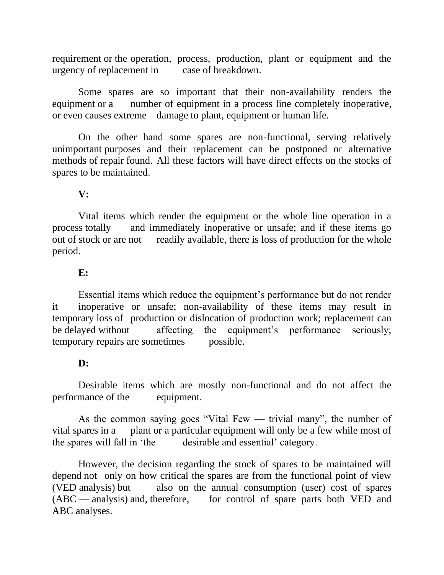requirement or the operation, process, production, plant or equipment and the urgency of replacement in case of breakdown.

Some spares are so important that their non-availability renders the equipment or a number of equipment in a process line completely inoperative, or even causes extreme damage to plant, equipment or human life.

On the other hand some spares are non-functional, serving relatively unimportant purposes and their replacement can be postponed or alternative methods of repair found. All these factors will have direct effects on the stocks of spares to be maintained.

# **V:**

Vital items which render the equipment or the whole line operation in a process totally and immediately inoperative or unsafe; and if these items go out of stock or are not readily available, there is loss of production for the whole period.

#### **E:**

Essential items which reduce the equipment's performance but do not render it inoperative or unsafe; non-availability of these items may result in temporary loss of production or dislocation of production work; replacement can be delayed without affecting the equipment's performance seriously; temporary repairs are sometimes possible.

#### **D:**

Desirable items which are mostly non-functional and do not affect the performance of the equipment.

As the common saying goes "Vital Few — trivial many", the number of vital spares in a plant or a particular equipment will only be a few while most of the spares will fall in 'the desirable and essential' category.

However, the decision regarding the stock of spares to be maintained will depend not only on how critical the spares are from the functional point of view (VED analysis) but also on the annual consumption (user) cost of spares (ABC — analysis) and, therefore, for control of spare parts both VED and ABC analyses.